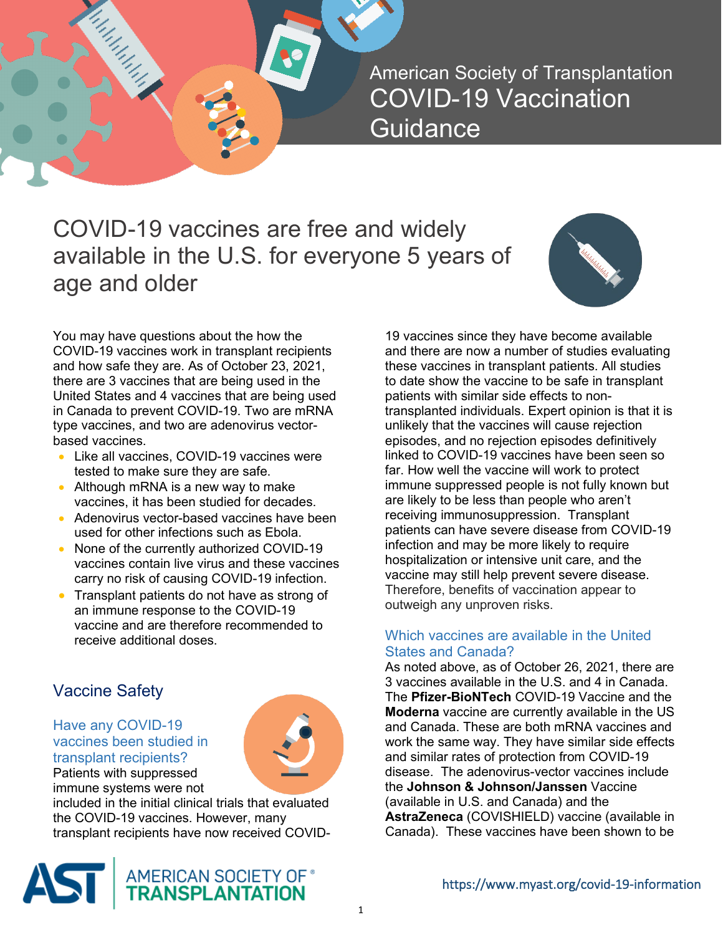COVID-19 vaccines are free and widely available in the U.S. for everyone 5 years of age and older



You may have questions about the how the COVID-19 vaccines work in transplant recipients and how safe they are. As of October 23, 2021, there are 3 vaccines that are being used in the United States and 4 vaccines that are being used in Canada to prevent COVID-19. Two are mRNA type vaccines, and two are adenovirus vectorbased vaccines.

- Like all vaccines, COVID-19 vaccines were tested to make sure they are safe.
- Although mRNA is a new way to make vaccines, it has been studied for decades.
- Adenovirus vector-based vaccines have been used for other infections such as Ebola.
- None of the currently authorized COVID-19 vaccines contain live virus and these vaccines carry no risk of causing COVID-19 infection.
- Transplant patients do not have as strong of an immune response to the COVID-19 vaccine and are therefore recommended to receive additional doses.

# Vaccine Safety

### Have any COVID-19 vaccines been studied in transplant recipients? Patients with suppressed

immune systems were not



included in the initial clinical trials that evaluated the COVID-19 vaccines. However, many transplant recipients have now received COVID-



19 vaccines since they have become available and there are now a number of studies evaluating these vaccines in transplant patients. All studies to date show the vaccine to be safe in transplant patients with similar side effects to nontransplanted individuals. Expert opinion is that it is unlikely that the vaccines will cause rejection episodes, and no rejection episodes definitively linked to COVID-19 vaccines have been seen so far. How well the vaccine will work to protect immune suppressed people is not fully known but are likely to be less than people who aren't receiving immunosuppression. Transplant patients can have severe disease from COVID-19 infection and may be more likely to require hospitalization or intensive unit care, and the vaccine may still help prevent severe disease. Therefore, benefits of vaccination appear to outweigh any unproven risks.

# Which vaccines are available in the United States and Canada?

As noted above, as of October 26, 2021, there are 3 vaccines available in the U.S. and 4 in Canada. The **Pfizer-BioNTech** COVID-19 Vaccine and the **Moderna** vaccine are currently available in the US and Canada. These are both mRNA vaccines and work the same way. They have similar side effects and similar rates of protection from COVID-19 disease. The adenovirus-vector vaccines include the **Johnson & Johnson/Janssen** Vaccine (available in U.S. and Canada) and the **AstraZeneca** (COVISHIELD) vaccine (available in Canada). These vaccines have been shown to be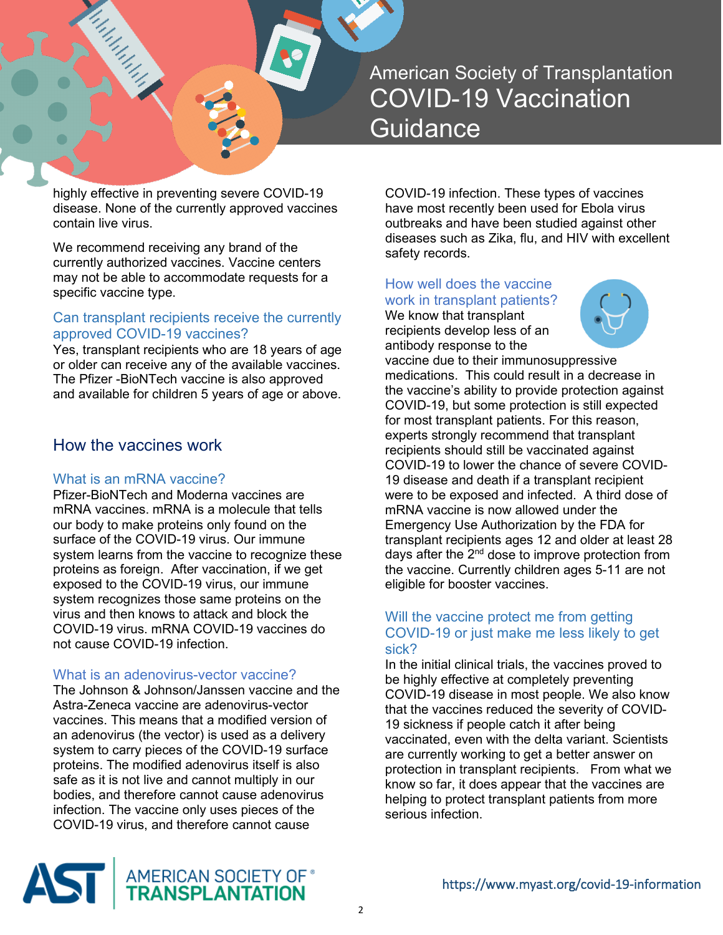

highly effective in preventing severe COVID-19 disease. None of the currently approved vaccines contain live virus.

We recommend receiving any brand of the currently authorized vaccines. Vaccine centers may not be able to accommodate requests for a specific vaccine type.

## Can transplant recipients receive the currently approved COVID-19 vaccines?

Yes, transplant recipients who are 18 years of age or older can receive any of the available vaccines. The Pfizer -BioNTech vaccine is also approved and available for children 5 years of age or above.

# How the vaccines work

#### What is an mRNA vaccine?

Pfizer-BioNTech and Moderna vaccines are mRNA vaccines. mRNA is a molecule that tells our body to make proteins only found on the surface of the COVID-19 virus. Our immune system learns from the vaccine to recognize these proteins as foreign. After vaccination, if we get exposed to the COVID-19 virus, our immune system recognizes those same proteins on the virus and then knows to attack and block the COVID-19 virus. mRNA COVID-19 vaccines do not cause COVID-19 infection.

#### What is an adenovirus-vector vaccine?

The Johnson & Johnson/Janssen vaccine and the Astra-Zeneca vaccine are adenovirus-vector vaccines. This means that a modified version of an adenovirus (the vector) is used as a delivery system to carry pieces of the COVID-19 surface proteins. The modified adenovirus itself is also safe as it is not live and cannot multiply in our bodies, and therefore cannot cause adenovirus infection. The vaccine only uses pieces of the COVID-19 virus, and therefore cannot cause

COVID-19 infection. These types of vaccines have most recently been used for Ebola virus outbreaks and have been studied against other diseases such as Zika, flu, and HIV with excellent safety records.

# How well does the vaccine work in transplant patients?

We know that transplant recipients develop less of an antibody response to the



vaccine due to their immunosuppressive medications. This could result in a decrease in the vaccine's ability to provide protection against COVID-19, but some protection is still expected for most transplant patients. For this reason, experts strongly recommend that transplant recipients should still be vaccinated against COVID-19 to lower the chance of severe COVID-19 disease and death if a transplant recipient were to be exposed and infected. A third dose of mRNA vaccine is now allowed under the Emergency Use Authorization by the FDA for transplant recipients ages 12 and older at least 28 days after the  $2<sup>nd</sup>$  dose to improve protection from the vaccine. Currently children ages 5-11 are not eligible for booster vaccines.

### Will the vaccine protect me from getting COVID-19 or just make me less likely to get sick?

In the initial clinical trials, the vaccines proved to be highly effective at completely preventing COVID-19 disease in most people. We also know that the vaccines reduced the severity of COVID-19 sickness if people catch it after being vaccinated, even with the delta variant. Scientists are currently working to get a better answer on protection in transplant recipients. From what we know so far, it does appear that the vaccines are helping to protect transplant patients from more serious infection.

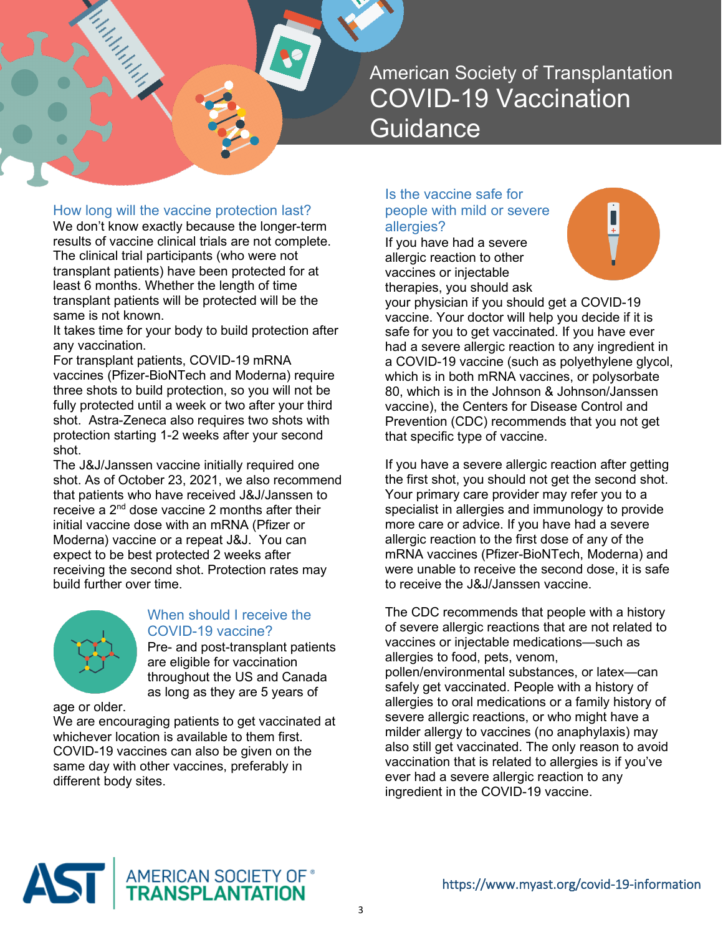## How long will the vaccine protection last?

itudiya<br>Manazar

We don't know exactly because the longer-term results of vaccine clinical trials are not complete. The clinical trial participants (who were not transplant patients) have been protected for at least 6 months. Whether the length of time transplant patients will be protected will be the same is not known.

It takes time for your body to build protection after any vaccination.

For transplant patients, COVID-19 mRNA vaccines (Pfizer-BioNTech and Moderna) require three shots to build protection, so you will not be fully protected until a week or two after your third shot. Astra-Zeneca also requires two shots with protection starting 1-2 weeks after your second shot.

The J&J/Janssen vaccine initially required one shot. As of October 23, 2021, we also recommend that patients who have received J&J/Janssen to receive a  $2<sup>nd</sup>$  dose vaccine 2 months after their initial vaccine dose with an mRNA (Pfizer or Moderna) vaccine or a repeat J&J. You can expect to be best protected 2 weeks after receiving the second shot. Protection rates may build further over time.



## When should I receive the COVID-19 vaccine?

Pre- and post-transplant patients are eligible for vaccination throughout the US and Canada as long as they are 5 years of

age or older.

We are encouraging patients to get vaccinated at whichever location is available to them first. COVID-19 vaccines can also be given on the same day with other vaccines, preferably in different body sites.

## Is the vaccine safe for people with mild or severe allergies?

If you have had a severe allergic reaction to other vaccines or injectable therapies, you should ask



your physician if you should get a COVID-19 vaccine. Your doctor will help you decide if it is safe for you to get vaccinated. If you have ever had a severe allergic reaction to any ingredient in a COVID-19 vaccine (such as polyethylene glycol, which is in both mRNA vaccines, or polysorbate 80, which is in the Johnson & Johnson/Janssen vaccine), the Centers for Disease Control and Prevention (CDC) recommends that you not get that specific type of vaccine.

If you have a severe allergic reaction after getting the first shot, you should not get the second shot. Your primary care provider may refer you to a specialist in allergies and immunology to provide more care or advice. If you have had a severe allergic reaction to the first dose of any of the mRNA vaccines (Pfizer-BioNTech, Moderna) and were unable to receive the second dose, it is safe to receive the J&J/Janssen vaccine.

The CDC recommends that people with a history of severe allergic reactions that are not related to vaccines or injectable medications—such as allergies to food, pets, venom, pollen/environmental substances, or latex—can safely get vaccinated. People with a history of allergies to oral medications or a family history of severe allergic reactions, or who might have a milder allergy to vaccines (no anaphylaxis) may also still get vaccinated. The only reason to avoid vaccination that is related to allergies is if you've ever had a severe allergic reaction to any ingredient in the COVID-19 vaccine.

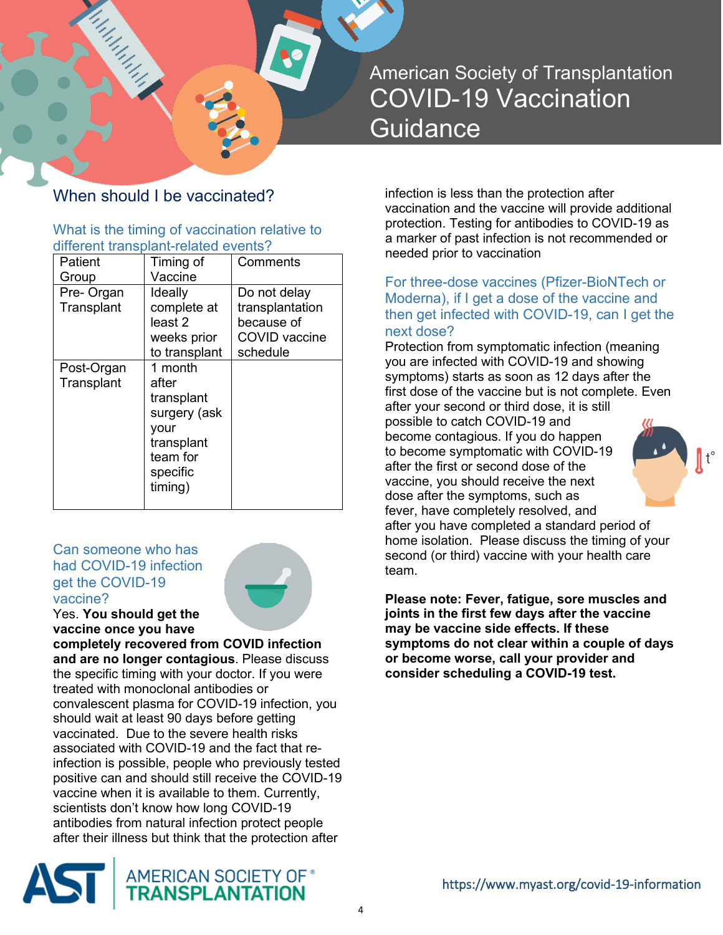# When should I be vaccinated?

# What is the timing of vaccination relative to different transplant-related events?

| Patient                  | Timing of                                                                                               | Comments                                                                   |
|--------------------------|---------------------------------------------------------------------------------------------------------|----------------------------------------------------------------------------|
| Group                    | Vaccine                                                                                                 |                                                                            |
| Pre-Organ<br>Transplant  | Ideally<br>complete at<br>least 2<br>weeks prior<br>to transplant                                       | Do not delay<br>transplantation<br>because of<br>COVID vaccine<br>schedule |
| Post-Organ<br>Transplant | 1 month<br>after<br>transplant<br>surgery (ask<br>vour<br>transplant<br>team for<br>specific<br>timing) |                                                                            |

## Can someone who has had COVID-19 infection get the COVID-19 vaccine?



Yes. **You should get the vaccine once you have** 

**completely recovered from COVID infection and are no longer contagious**. Please discuss the specific timing with your doctor. If you were treated with monoclonal antibodies or convalescent plasma for COVID-19 infection, you should wait at least 90 days before getting vaccinated. Due to the severe health risks associated with COVID-19 and the fact that reinfection is possible, people who previously tested positive can and should still receive the COVID-19 vaccine when it is available to them. Currently, scientists don't know how long COVID-19 antibodies from natural infection protect people after their illness but think that the protection after



infection is less than the protection after vaccination and the vaccine will provide additional protection. Testing for antibodies to COVID-19 as a marker of past infection is not recommended or needed prior to vaccination

For three-dose vaccines (Pfizer-BioNTech or Moderna), if I get a dose of the vaccine and then get infected with COVID-19, can I get the next dose?

Protection from symptomatic infection (meaning you are infected with COVID-19 and showing symptoms) starts as soon as 12 days after the first dose of the vaccine but is not complete. Even after your second or third dose, it is still possible to catch COVID-19 and become contagious. If you do happen to become symptomatic with COVID-19 after the first or second dose of the vaccine, you should receive the next dose after the symptoms, such as fever, have completely resolved, and after you have completed a standard period of home isolation. Please discuss the timing of your second (or third) vaccine with your health care team.

**Please note: Fever, fatigue, sore muscles and joints in the first few days after the vaccine may be vaccine side effects. If these symptoms do not clear within a couple of days or become worse, call your provider and consider scheduling a COVID-19 test.**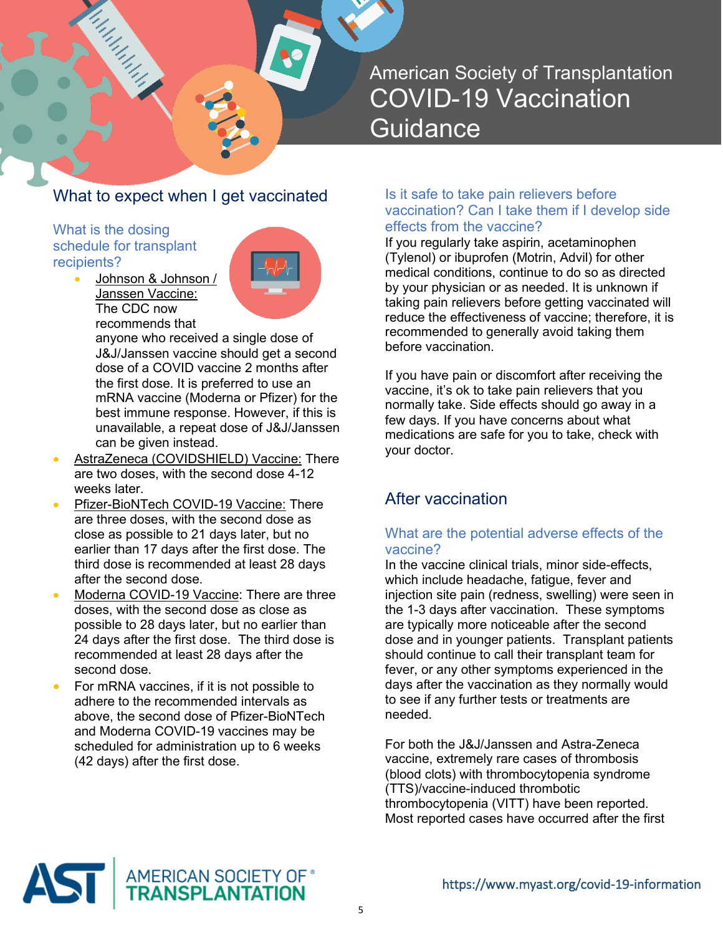# What to expect when I get vaccinated

What is the dosing schedule for transplant recipients?

itudiya<br>Manazar

• Johnson & Johnson / Janssen Vaccine: The CDC now recommends that



anyone who received a single dose of J&J/Janssen vaccine should get a second dose of a COVID vaccine 2 months after the first dose. It is preferred to use an mRNA vaccine (Moderna or Pfizer) for the best immune response. However, if this is unavailable, a repeat dose of J&J/Janssen can be given instead.

- AstraZeneca (COVIDSHIELD) Vaccine: There are two doses, with the second dose 4-12 weeks later.
- Pfizer-BioNTech COVID-19 Vaccine: There are three doses, with the second dose as close as possible to 21 days later, but no earlier than 17 days after the first dose. The third dose is recommended at least 28 days after the second dose.
- Moderna COVID-19 Vaccine: There are three doses, with the second dose as close as possible to 28 days later, but no earlier than 24 days after the first dose. The third dose is recommended at least 28 days after the second dose.
- For mRNA vaccines, if it is not possible to adhere to the recommended intervals as above, the second dose of Pfizer-BioNTech and Moderna COVID-19 vaccines may be scheduled for administration up to 6 weeks (42 days) after the first dose.

### Is it safe to take pain relievers before vaccination? Can I take them if I develop side effects from the vaccine?

If you regularly take aspirin, acetaminophen (Tylenol) or ibuprofen (Motrin, Advil) for other medical conditions, continue to do so as directed by your physician or as needed. It is unknown if taking pain relievers before getting vaccinated will reduce the effectiveness of vaccine; therefore, it is recommended to generally avoid taking them before vaccination.

If you have pain or discomfort after receiving the vaccine, it's ok to take pain relievers that you normally take. Side effects should go away in a few days. If you have concerns about what medications are safe for you to take, check with your doctor.

# After vaccination

## What are the potential adverse effects of the vaccine?

In the vaccine clinical trials, minor side-effects, which include headache, fatigue, fever and injection site pain (redness, swelling) were seen in the 1-3 days after vaccination. These symptoms are typically more noticeable after the second dose and in younger patients. Transplant patients should continue to call their transplant team for fever, or any other symptoms experienced in the days after the vaccination as they normally would to see if any further tests or treatments are needed.

For both the J&J/Janssen and Astra-Zeneca vaccine, extremely rare cases of thrombosis (blood clots) with thrombocytopenia syndrome (TTS)/vaccine-induced thrombotic thrombocytopenia (VITT) have been reported. Most reported cases have occurred after the first

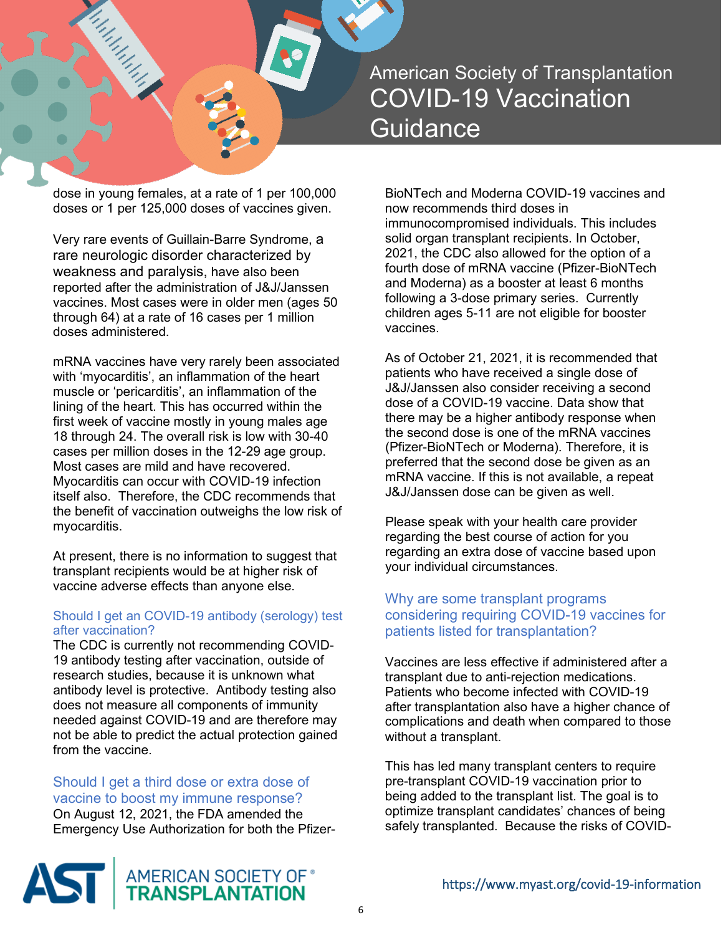

dose in young females, at a rate of 1 per 100,000 doses or 1 per 125,000 doses of vaccines given.

Very rare events of Guillain-Barre Syndrome, a rare neurologic disorder characterized by weakness and paralysis, have also been reported after the administration of J&J/Janssen vaccines. Most cases were in older men (ages 50 through 64) at a rate of 16 cases per 1 million doses administered.

mRNA vaccines have very rarely been associated with 'myocarditis', an inflammation of the heart muscle or 'pericarditis', an inflammation of the lining of the heart. This has occurred within the first week of vaccine mostly in young males age 18 through 24. The overall risk is low with 30-40 cases per million doses in the 12-29 age group. Most cases are mild and have recovered. Myocarditis can occur with COVID-19 infection itself also. Therefore, the CDC recommends that the benefit of vaccination outweighs the low risk of myocarditis.

At present, there is no information to suggest that transplant recipients would be at higher risk of vaccine adverse effects than anyone else.

#### Should I get an COVID-19 antibody (serology) test after vaccination?

The CDC is currently not recommending COVID-19 antibody testing after vaccination, outside of research studies, because it is unknown what antibody level is protective. Antibody testing also does not measure all components of immunity needed against COVID-19 and are therefore may not be able to predict the actual protection gained from the vaccine.

Should I get a third dose or extra dose of vaccine to boost my immune response? On August 12, 2021, the FDA amended the Emergency Use Authorization for both the PfizerBioNTech and Moderna COVID-19 vaccines and now recommends third doses in immunocompromised individuals. This includes solid organ transplant recipients. In October, 2021, the CDC also allowed for the option of a fourth dose of mRNA vaccine (Pfizer-BioNTech and Moderna) as a booster at least 6 months following a 3-dose primary series. Currently children ages 5-11 are not eligible for booster vaccines.

As of October 21, 2021, it is recommended that patients who have received a single dose of J&J/Janssen also consider receiving a second dose of a COVID-19 vaccine. Data show that there may be a higher antibody response when the second dose is one of the mRNA vaccines (Pfizer-BioNTech or Moderna). Therefore, it is preferred that the second dose be given as an mRNA vaccine. If this is not available, a repeat J&J/Janssen dose can be given as well.

Please speak with your health care provider regarding the best course of action for you regarding an extra dose of vaccine based upon your individual circumstances.

## Why are some transplant programs considering requiring COVID-19 vaccines for patients listed for transplantation?

Vaccines are less effective if administered after a transplant due to anti-rejection medications. Patients who become infected with COVID-19 after transplantation also have a higher chance of complications and death when compared to those without a transplant.

This has led many transplant centers to require pre-transplant COVID-19 vaccination prior to being added to the transplant list. The goal is to optimize transplant candidates' chances of being safely transplanted. Because the risks of COVID-